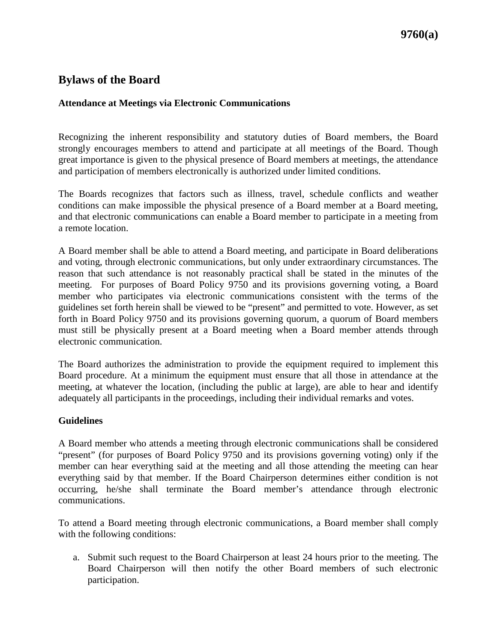## **Bylaws of the Board**

### **Attendance at Meetings via Electronic Communications**

Recognizing the inherent responsibility and statutory duties of Board members, the Board strongly encourages members to attend and participate at all meetings of the Board. Though great importance is given to the physical presence of Board members at meetings, the attendance and participation of members electronically is authorized under limited conditions.

The Boards recognizes that factors such as illness, travel, schedule conflicts and weather conditions can make impossible the physical presence of a Board member at a Board meeting, and that electronic communications can enable a Board member to participate in a meeting from a remote location.

A Board member shall be able to attend a Board meeting, and participate in Board deliberations and voting, through electronic communications, but only under extraordinary circumstances. The reason that such attendance is not reasonably practical shall be stated in the minutes of the meeting. For purposes of Board Policy 9750 and its provisions governing voting, a Board member who participates via electronic communications consistent with the terms of the guidelines set forth herein shall be viewed to be "present" and permitted to vote. However, as set forth in Board Policy 9750 and its provisions governing quorum, a quorum of Board members must still be physically present at a Board meeting when a Board member attends through electronic communication.

The Board authorizes the administration to provide the equipment required to implement this Board procedure. At a minimum the equipment must ensure that all those in attendance at the meeting, at whatever the location, (including the public at large), are able to hear and identify adequately all participants in the proceedings, including their individual remarks and votes.

### **Guidelines**

A Board member who attends a meeting through electronic communications shall be considered "present" (for purposes of Board Policy 9750 and its provisions governing voting) only if the member can hear everything said at the meeting and all those attending the meeting can hear everything said by that member. If the Board Chairperson determines either condition is not occurring, he/she shall terminate the Board member's attendance through electronic communications.

To attend a Board meeting through electronic communications, a Board member shall comply with the following conditions:

a. Submit such request to the Board Chairperson at least 24 hours prior to the meeting. The Board Chairperson will then notify the other Board members of such electronic participation.